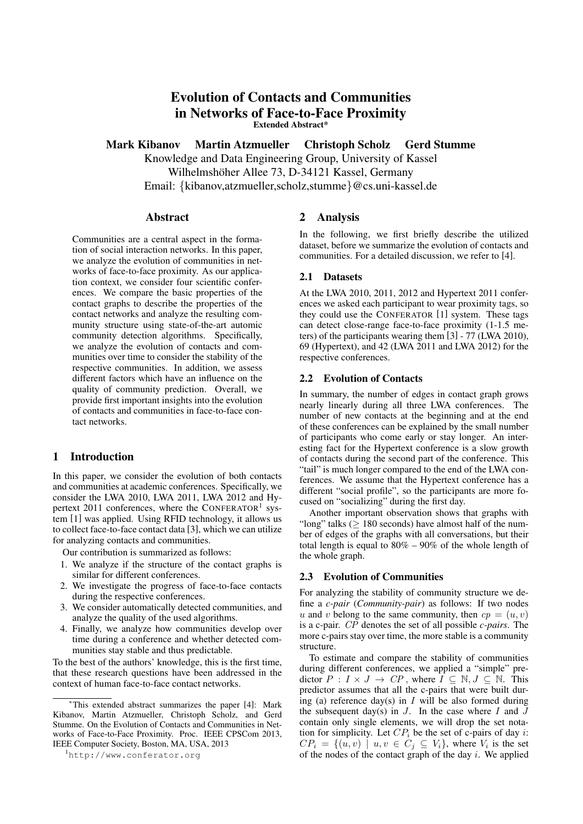# Evolution of Contacts and Communities in Networks of Face-to-Face Proximity Extended Abstract\*

Mark Kibanov Martin Atzmueller Christoph Scholz Gerd Stumme

Knowledge and Data Engineering Group, University of Kassel Wilhelmshöher Allee 73, D-34121 Kassel, Germany Email: {kibanov,atzmueller,scholz,stumme}@cs.uni-kassel.de

# Abstract

Communities are a central aspect in the formation of social interaction networks. In this paper, we analyze the evolution of communities in networks of face-to-face proximity. As our application context, we consider four scientific conferences. We compare the basic properties of the contact graphs to describe the properties of the contact networks and analyze the resulting community structure using state-of-the-art automic community detection algorithms. Specifically, we analyze the evolution of contacts and communities over time to consider the stability of the respective communities. In addition, we assess different factors which have an influence on the quality of community prediction. Overall, we provide first important insights into the evolution of contacts and communities in face-to-face contact networks.

# 1 Introduction

In this paper, we consider the evolution of both contacts and communities at academic conferences. Specifically, we consider the LWA 2010, LWA 2011, LWA 2012 and Hypertext 2011 conferences, where the CONFERATOR<sup>1</sup> system [1] was applied. Using RFID technology, it allows us to collect face-to-face contact data [3], which we can utilize for analyzing contacts and communities.

Our contribution is summarized as follows:

- 1. We analyze if the structure of the contact graphs is similar for different conferences.
- 2. We investigate the progress of face-to-face contacts during the respective conferences.
- 3. We consider automatically detected communities, and analyze the quality of the used algorithms.
- 4. Finally, we analyze how communities develop over time during a conference and whether detected communities stay stable and thus predictable.

To the best of the authors' knowledge, this is the first time, that these research questions have been addressed in the context of human face-to-face contact networks.

# 2 Analysis

In the following, we first briefly describe the utilized dataset, before we summarize the evolution of contacts and communities. For a detailed discussion, we refer to [4].

#### 2.1 Datasets

At the LWA 2010, 2011, 2012 and Hypertext 2011 conferences we asked each participant to wear proximity tags, so they could use the CONFERATOR [1] system. These tags can detect close-range face-to-face proximity (1-1.5 meters) of the participants wearing them [3] - 77 (LWA 2010), 69 (Hypertext), and 42 (LWA 2011 and LWA 2012) for the respective conferences.

# 2.2 Evolution of Contacts

In summary, the number of edges in contact graph grows nearly linearly during all three LWA conferences. The number of new contacts at the beginning and at the end of these conferences can be explained by the small number of participants who come early or stay longer. An interesting fact for the Hypertext conference is a slow growth of contacts during the second part of the conference. This "tail" is much longer compared to the end of the LWA conferences. We assume that the Hypertext conference has a different "social profile", so the participants are more focused on "socializing" during the first day.

Another important observation shows that graphs with "long" talks ( $\geq$  180 seconds) have almost half of the number of edges of the graphs with all conversations, but their total length is equal to  $80\% - 90\%$  of the whole length of the whole graph.

# 2.3 Evolution of Communities

For analyzing the stability of community structure we define a *c-pair* (*Community-pair*) as follows: If two nodes u and v belong to the same community, then  $cp = (u, v)$ is a c-pair. CP denotes the set of all possible *c-pairs*. The more c-pairs stay over time, the more stable is a community structure.

To estimate and compare the stability of communities during different conferences, we applied a "simple" predictor  $P: I \times J \to CP$ , where  $\hat{I} \subseteq \mathbb{N}, J \subseteq \mathbb{N}$ . This predictor assumes that all the c-pairs that were built during (a) reference day(s) in  $I$  will be also formed during the subsequent day(s) in  $J$ . In the case where  $I$  and  $J$ contain only single elements, we will drop the set notation for simplicity. Let  $CP_i$  be the set of c-pairs of day *i*:  $CP_i = \{(u, v) \mid u, v \in C_j \subseteq V_i\}$ , where  $V_i$  is the set of the nodes of the contact graph of the day  $i$ . We applied

<sup>∗</sup>This extended abstract summarizes the paper [4]: Mark Kibanov, Martin Atzmueller, Christoph Scholz, and Gerd Stumme. On the Evolution of Contacts and Communities in Networks of Face-to-Face Proximity. Proc. IEEE CPSCom 2013, IEEE Computer Society, Boston, MA, USA, 2013

<sup>1</sup>http://www.conferator.org